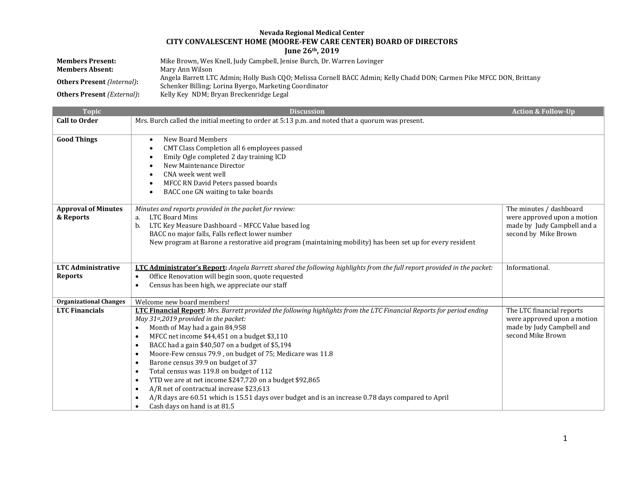## **Nevada Regional Medical Center CITY CONVALESCENT HOME (MOORE-FEW CARE CENTER) BOARD OF DIRECTORS June 26th, 2019**

| <b>Members Present:</b>                    | Mike Brown, Wes Knell, Judy Campbell, Jenise Burch, Dr. Warren Lovinger                                                                                                         |
|--------------------------------------------|---------------------------------------------------------------------------------------------------------------------------------------------------------------------------------|
| <b>Members Absent:</b>                     | Mary Ann Wilson                                                                                                                                                                 |
| <b>Others Present</b> (Internal):          | Angela Barrett LTC Admin; Holly Bush CQO; Melissa Cornell BACC Admin; Kelly Chadd DON; Carmen Pike MFCC DON, Brittany<br>Schenker Billing; Lorina Byergo, Marketing Coordinator |
| <b>Others Present</b> ( <i>External</i> ): | Kelly Key NDM; Bryan Breckenridge Legal                                                                                                                                         |

| <b>Topic</b>                  | <b>Discussion</b>                                                                                                              | <b>Action &amp; Follow-Up</b>                       |
|-------------------------------|--------------------------------------------------------------------------------------------------------------------------------|-----------------------------------------------------|
| <b>Call to Order</b>          | Mrs. Burch called the initial meeting to order at 5:13 p.m. and noted that a quorum was present.                               |                                                     |
|                               |                                                                                                                                |                                                     |
| <b>Good Things</b>            | <b>New Board Members</b><br>$\bullet$                                                                                          |                                                     |
|                               | CMT Class Completion all 6 employees passed<br>٠                                                                               |                                                     |
|                               | Emily Ogle completed 2 day training ICD<br>$\bullet$                                                                           |                                                     |
|                               | New Maintenance Director<br>$\bullet$                                                                                          |                                                     |
|                               | CNA week went well<br>$\bullet$                                                                                                |                                                     |
|                               | MFCC RN David Peters passed boards<br>$\bullet$                                                                                |                                                     |
|                               | BACC one GN waiting to take boards<br>$\bullet$                                                                                |                                                     |
|                               |                                                                                                                                |                                                     |
| <b>Approval of Minutes</b>    | Minutes and reports provided in the packet for review:                                                                         | The minutes / dashboard                             |
| & Reports                     | <b>LTC Board Mins</b><br>a.                                                                                                    | were approved upon a motion                         |
|                               | LTC Key Measure Dashboard - MFCC Value based log<br>b.<br>BACC no major falls, Falls reflect lower number                      | made by Judy Campbell and a<br>second by Mike Brown |
|                               | New program at Barone a restorative aid program (maintaining mobility) has been set up for every resident                      |                                                     |
|                               |                                                                                                                                |                                                     |
|                               |                                                                                                                                |                                                     |
| <b>LTC Administrative</b>     | <b>LTC Administrator's Report:</b> Angela Barrett shared the following highlights from the full report provided in the packet: | Informational.                                      |
| <b>Reports</b>                | Office Renovation will begin soon, quote requested<br>$\bullet$                                                                |                                                     |
|                               | Census has been high, we appreciate our staff<br>$\bullet$                                                                     |                                                     |
|                               |                                                                                                                                |                                                     |
| <b>Organizational Changes</b> | Welcome new board members!                                                                                                     |                                                     |
| <b>LTC Financials</b>         | <b>LTC Financial Report:</b> Mrs. Barrett provided the following highlights from the LTC Financial Reports for period ending   | The LTC financial reports                           |
|                               | May 31st,2019 provided in the packet:                                                                                          | were approved upon a motion                         |
|                               | Month of May had a gain 84,958<br>$\bullet$                                                                                    | made by Judy Campbell and                           |
|                               | MFCC net income \$44,451 on a budget \$3,110<br>$\bullet$                                                                      | second Mike Brown                                   |
|                               | BACC had a gain \$40,507 on a budget of \$5,194<br>$\bullet$                                                                   |                                                     |
|                               | Moore-Few census 79.9, on budget of 75; Medicare was 11.8<br>$\bullet$                                                         |                                                     |
|                               | Barone census 39.9 on budget of 37<br>$\bullet$                                                                                |                                                     |
|                               | Total census was 119.8 on budget of 112<br>$\bullet$                                                                           |                                                     |
|                               | YTD we are at net income \$247,720 on a budget \$92,865<br>$\bullet$                                                           |                                                     |
|                               | A/R net of contractual increase \$23,613<br>$\bullet$                                                                          |                                                     |
|                               | A/R days are 60.51 which is 15.51 days over budget and is an increase 0.78 days compared to April<br>$\bullet$                 |                                                     |
|                               | Cash days on hand is at 81.5<br>$\bullet$                                                                                      |                                                     |